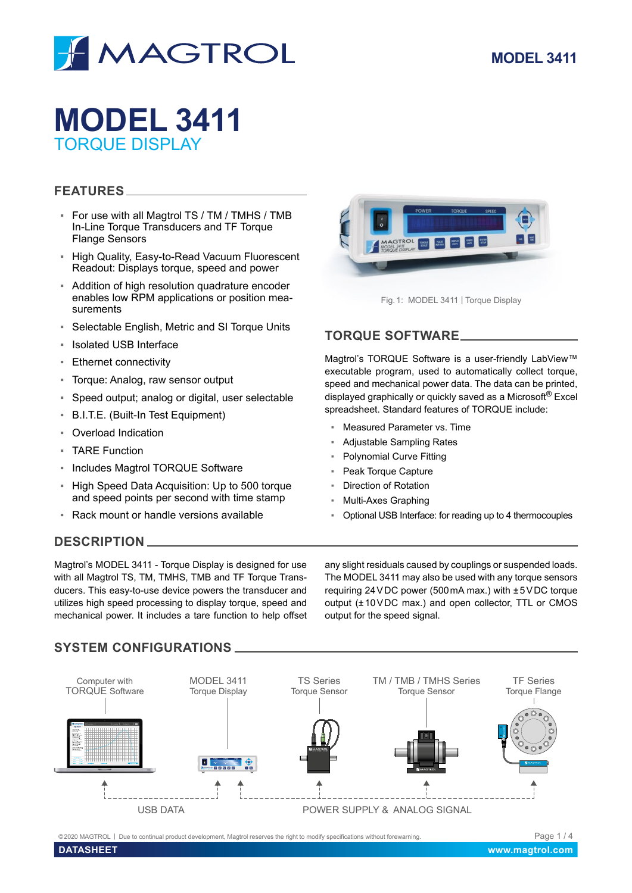

# **MODEL 3411** TORQUE DISPLAY

## **FEATURES**

- For use with all Magtrol TS / TM / TMHS / TMB In-Line Torque Transducers and TF Torque Flange Sensors
- High Quality, Easy-to-Read Vacuum Fluorescent Readout: Displays torque, speed and power
- Addition of high resolution quadrature encoder enables low RPM applications or position measurements
- Selectable English, Metric and SI Torque Units
- **Isolated USB Interface**
- Ethernet connectivity
- Torque: Analog, raw sensor output
- Speed output; analog or digital, user selectable
- B.I.T.E. (Built-In Test Equipment)
- Overload Indication
- **E** TARF Function
- Includes Magtrol TORQUE Software
- High Speed Data Acquisition: Up to 500 torque and speed points per second with time stamp
- Rack mount or handle versions available

# **DESCRIPTION**

Magtrol's MODEL 3411 - Torque Display is designed for use with all Magtrol TS, TM, TMHS, TMB and TF Torque Transducers. This easy-to-use device powers the transducer and utilizes high speed processing to display torque, speed and mechanical power. It includes a tare function to help offset

## **TORQUE SOFTWARE**

Magtrol's TORQUE Software is a user-friendly LabView™ executable program, used to automatically collect torque, speed and mechanical power data. The data can be printed, displayed graphically or quickly saved as a Microsoft<sup>®</sup> Excel spreadsheet. Standard features of TORQUE include:

- Measured Parameter vs. Time
- **Adjustable Sampling Rates**
- **Polynomial Curve Fitting**
- Peak Torque Capture
- **Direction of Rotation**
- Multi-Axes Graphing
- Optional USB Interface: for reading up to 4 thermocouples

any slight residuals caused by couplings or suspended loads. The MODEL 3411 may also be used with any torque sensors requiring 24VDC power (500mA max.) with ±5VDC torque output (±10VDC max.) and open collector, TTL or CMOS output for the speed signal.

# **SYSTEM CONFIGURATIONS**



©2020 MAGTROL | Due to continual product development, Magtrol reserves the right to modify specifications without forewarning.

Fig.1: MODEL 3411 | Torque Display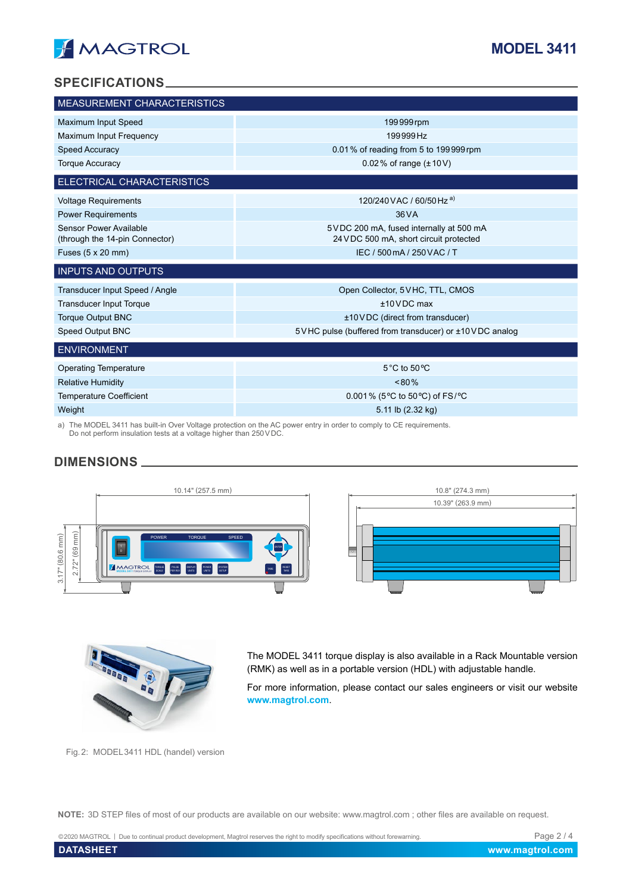

## **SPECIFICATIONS**

| MEASUREMENT CHARACTERISTICS                              |                                                                                    |
|----------------------------------------------------------|------------------------------------------------------------------------------------|
| Maximum Input Speed                                      | 199999 rpm                                                                         |
| Maximum Input Frequency                                  | 199999Hz                                                                           |
| <b>Speed Accuracy</b>                                    | 0.01% of reading from 5 to 199999 rpm                                              |
| <b>Torque Accuracy</b>                                   | 0.02 % of range $(\pm 10 \text{ V})$                                               |
| ELECTRICAL CHARACTERISTICS                               |                                                                                    |
| <b>Voltage Requirements</b>                              | 120/240 VAC / 60/50 Hz a)                                                          |
| <b>Power Requirements</b>                                | 36 V A                                                                             |
| Sensor Power Available<br>(through the 14-pin Connector) | 5 VDC 200 mA, fused internally at 500 mA<br>24 VDC 500 mA, short circuit protected |
| Fuses (5 x 20 mm)                                        | IEC / 500 mA / 250 VAC / T                                                         |
| <b>INPUTS AND OUTPUTS</b>                                |                                                                                    |
| Transducer Input Speed / Angle                           | Open Collector, 5VHC, TTL, CMOS                                                    |
| <b>Transducer Input Torque</b>                           | $±10$ VDC max                                                                      |
| <b>Torque Output BNC</b>                                 | ±10VDC (direct from transducer)                                                    |
| Speed Output BNC                                         | 5 VHC pulse (buffered from transducer) or ±10 VDC analog                           |
| <b>ENVIRONMENT</b>                                       |                                                                                    |
| <b>Operating Temperature</b>                             | 5°C to 50°C                                                                        |
| <b>Relative Humidity</b>                                 | $< 80\%$                                                                           |
| <b>Temperature Coefficient</b>                           | 0.001% (5°C to 50°C) of FS/°C                                                      |
| Weight                                                   | 5.11 lb (2.32 kg)                                                                  |

a) The MODEL 3411 has built-in Over Voltage protection on the AC power entry in order to comply to CE requirements. Do not perform insulation tests at a voltage higher than 250VDC.

# **DIMENSIONS**





The MODEL 3411 torque display is also available in a Rack Mountable version (RMK) as well as in a portable version (HDL) with adjustable handle.

For more information, please contact our sales engineers or visit our website **[www.magtrol.com](http://www.magtrol.com)**.

Fig.2: MODEL3411 HDL (handel) version

**NOTE:** 3D STEP files of most of our products are available on our website: www.magtrol.com ; other files are available on request.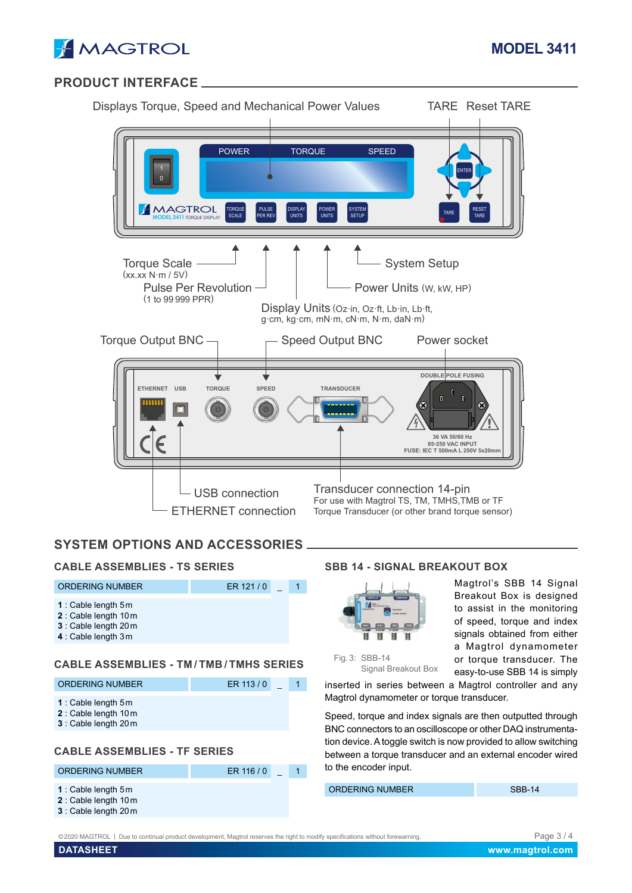

# **PRODUCT INTERFACE**

| Displays Torque, Speed and Mechanical Power Values                                                  |                                                           |                                                                                         | <b>TARE Reset TARE</b>                                                                                                                                                              |
|-----------------------------------------------------------------------------------------------------|-----------------------------------------------------------|-----------------------------------------------------------------------------------------|-------------------------------------------------------------------------------------------------------------------------------------------------------------------------------------|
| <b>POWER</b><br><b>MAGTROL</b><br><b>TORQUE</b><br><b>SCALE</b><br><b>MODEL 3411 TORQUE DISPLAY</b> | <b>PULSE</b><br><b>DISPLAY</b><br>PER REV<br><b>UNITS</b> | <b>TORQUE</b><br><b>SPEED</b><br>POWER<br><b>SYSTEM</b><br><b>UNITS</b><br><b>SETUP</b> | <b>ENTER</b><br><b>RESET</b><br><b>TARE</b><br><b>TARE</b>                                                                                                                          |
| <b>Torque Scale</b><br>(xx.xx N·m / 5V)<br><b>Pulse Per Revolution</b><br>(1 to 99 999 PPR)         |                                                           | Display Units (Oz·in, Oz·ft, Lb·in, Lb·ft,<br>g·cm, kg·cm, mN·m, cN·m, N·m, daN·m)      | <b>System Setup</b><br>Power Units (W, kW, HP)                                                                                                                                      |
| Torque Output BNC -<br><b>TORQUE</b><br><b>ETHERNET</b><br><b>USB</b>                               | <b>SPEED</b>                                              | <b>Speed Output BNC</b><br><b>TRANSDUCER</b>                                            | Power socket<br>DOUBLE POLE FUSING<br>IJ.<br>N.<br>M<br>$\bm{\infty}$<br>$\left( \mathsf{x}\right)$<br>36 VA 50/60 Hz<br><b>85-250 VAC INPUT</b><br>FUSE: IEC T 500mA L 250V 5x20mm |
| - USB connection<br><b>ETHERNET</b> connection                                                      |                                                           | Transducer connection 14-pin                                                            | For use with Magtrol TS, TM, TMHS, TMB or TF<br>Torque Transducer (or other brand torque sensor)                                                                                    |

# **SYSTEM OPTIONS AND ACCESSORIES**

#### **CABLE ASSEMBLIES - TS SERIES**

| ORDERING NUMBER                                                                                        | ER 121/0 |  |
|--------------------------------------------------------------------------------------------------------|----------|--|
| <b>1</b> : Cable length $5m$<br>2 : Cable length 10 m<br>3 : Cable length 20 m<br>4 : Cable length 3 m |          |  |

#### **CABLE ASSEMBLIES - TM / TMB / TMHS SERIES**

| <b>ORDERING NUMBER</b>                                                 | ER 113/0 |  |
|------------------------------------------------------------------------|----------|--|
| 1 : Cable length $5m$<br>2: Cable length 10 m<br>3 : Cable length 20 m |          |  |
|                                                                        |          |  |

## **CABLE ASSEMBLIES - TF SERIES**

| <b>ORDERING NUMBER</b>                                                 | ER 116/0 |  |
|------------------------------------------------------------------------|----------|--|
| 1 : Cable length $5m$<br>2: Cable length 10 m<br>3 : Cable length 20 m |          |  |

## **SBB 14 - SIGNAL BREAKOUT BOX**



Magtrol's SBB 14 Signal Breakout Box is designed to assist in the monitoring of speed, torque and index signals obtained from either a Magtrol dynamometer or torque transducer. The easy-to-use SBB 14 is simply

Fig.3: SBB-14 Signal Breakout Box

inserted in series between a Magtrol controller and any Magtrol dynamometer or torque transducer.

Speed, torque and index signals are then outputted through BNC connectors to an oscilloscope or other DAQ instrumentation device. A toggle switch is now provided to allow switching between a torque transducer and an external encoder wired to the encoder input.

ORDERING NUMBER SBB-14

©2020 MAGTROL | Due to continual product development, Magtrol reserves the right to modify specifications without forewarning. Page 3 / 4